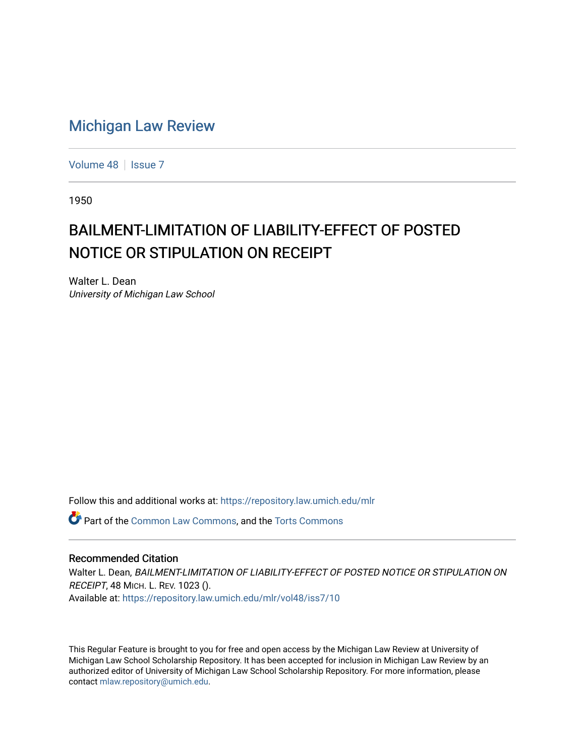## [Michigan Law Review](https://repository.law.umich.edu/mlr)

[Volume 48](https://repository.law.umich.edu/mlr/vol48) | [Issue 7](https://repository.law.umich.edu/mlr/vol48/iss7)

1950

## BAILMENT-LIMITATION OF LIABILITY-EFFECT OF POSTED NOTICE OR STIPULATION ON RECEIPT

Walter L. Dean University of Michigan Law School

Follow this and additional works at: [https://repository.law.umich.edu/mlr](https://repository.law.umich.edu/mlr?utm_source=repository.law.umich.edu%2Fmlr%2Fvol48%2Fiss7%2F10&utm_medium=PDF&utm_campaign=PDFCoverPages) 

**P** Part of the [Common Law Commons,](http://network.bepress.com/hgg/discipline/1120?utm_source=repository.law.umich.edu%2Fmlr%2Fvol48%2Fiss7%2F10&utm_medium=PDF&utm_campaign=PDFCoverPages) and the [Torts Commons](http://network.bepress.com/hgg/discipline/913?utm_source=repository.law.umich.edu%2Fmlr%2Fvol48%2Fiss7%2F10&utm_medium=PDF&utm_campaign=PDFCoverPages)

## Recommended Citation

Walter L. Dean, BAILMENT-LIMITATION OF LIABILITY-EFFECT OF POSTED NOTICE OR STIPULATION ON RECEIPT, 48 MICH. L. REV. 1023 (). Available at: [https://repository.law.umich.edu/mlr/vol48/iss7/10](https://repository.law.umich.edu/mlr/vol48/iss7/10?utm_source=repository.law.umich.edu%2Fmlr%2Fvol48%2Fiss7%2F10&utm_medium=PDF&utm_campaign=PDFCoverPages) 

This Regular Feature is brought to you for free and open access by the Michigan Law Review at University of Michigan Law School Scholarship Repository. It has been accepted for inclusion in Michigan Law Review by an authorized editor of University of Michigan Law School Scholarship Repository. For more information, please contact [mlaw.repository@umich.edu](mailto:mlaw.repository@umich.edu).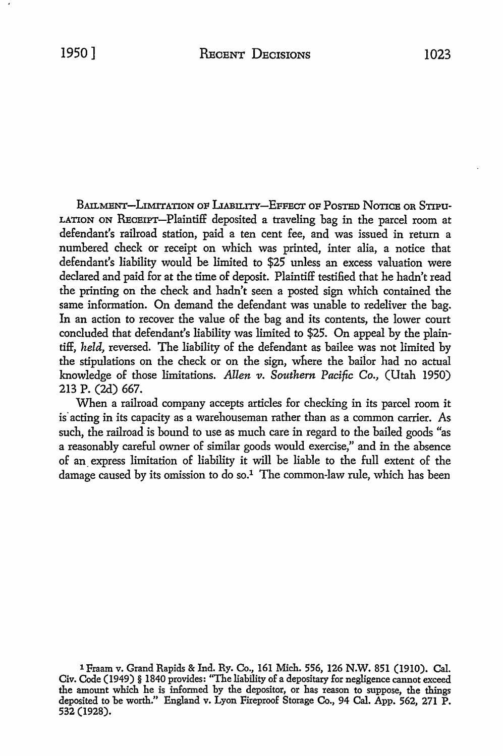BAILMENT-LIMITATION OF LIABILITY-EFFECT OF POSTED NOTICE OR STIPU-LATION ON REcEIPT-Plaintiff deposited a traveling bag in the parcel room at defendant's railroad station, paid a ten cent fee, and was issued in return a numbered check or receipt on which was printed, inter alia, a notice that defendant's liability would be limited to \$25 unless an excess valuation were declared and paid for at the time of deposit. Plaintiff testified that he hadn't read the printing on the check and hadn't seen a posted sign which contained the same information. On demand the defendant was unable to redeliver the bag. In an action to recover the value of the bag and its contents, the lower court concluded that defendant's liability was limited to \$25. On appeal by the plaintiff, *held,* reversed. The liability of the defendant as bailee was not limited by the stipulations on the check or on the sign, where the baiior had no actual knowledge of those limitations. *Allen v. Southern Pacific Co.*, (Utah 1950) 213 P. (2d) 667.

When a railroad company accepts articles for checking in its parcel room it is acting in its capacity as a warehouseman rather than as a common carrier. As such, the railroad is bound to use as much care in regard to the bailed goods "as a reasonably careful owner of similar goods would exercise," and in the absence of an. express limitation of liability it will be liable to the full extent of the damage caused by its omission to do so.<sup>1</sup> The common-law rule, which has been

<sup>1</sup> Fraam v. Grand Rapids & Ind. Ry. Co., 161 Mich. 556, 126 N.W. 851 (1910). Cal. Civ. Code (1949) § 1840 provides: "The liability of a depositary for negligence cannot exceed the amount which he is informed by the depositor, or has reason to suppose, the things deposited to be worth." England v. Lyon Fireproof Storage Co., 94 Cal. App. 562, 271 P. 532 (1928).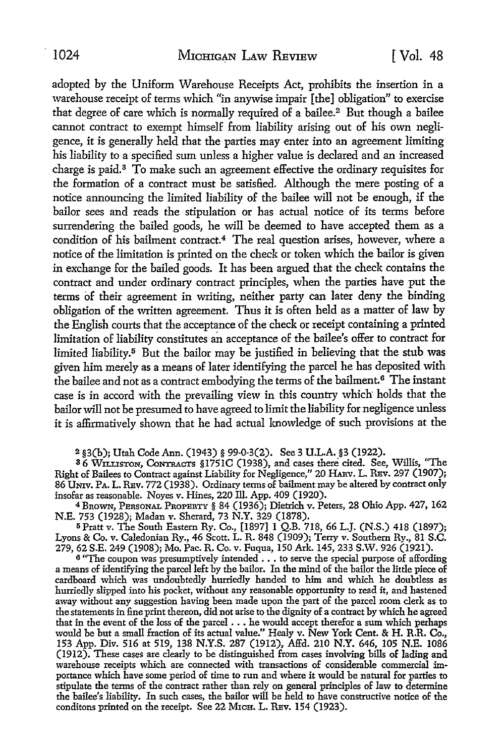adopted by the Uniform Warehouse Receipts Act, prohibits the insertion in a warehouse receipt of terms which "in anywise impair [the] obligation" to exercise that degree of care which is normally required of a bailee.<sup>2</sup> But though a bailee cannot contract to exempt himself from liability arising out of his own negligence, it is generally held that the parties may enter into an agreement limiting his liability to a specified sum unless a higher value is declared and an increased charge is paid.3 To make such an agreement effective the ordinary requisites for the formation of a contract must be satisfied. Although the mere posting of a notice announcing the limited liability of the bailee will not be enough, if the bailor sees and reads the stipulation or has actual notice of its terms before surrendering the bailed goods, he will be deemed to have accepted them as a condition of his bailment contract.4 The real question arises, however, where a notice of the limitation is printed on the check or token which the bailor is given in exchange for the bailed goods. It has been argued that the check contains the contract and under ordinary contract principles, when the parties have put the terms of their agreement in writing, neither party can later deny the binding obligation of the written agreement. Thus it is often held as a matter of law by the English courts that the acceptance of the check or receipt containing a printed limitation of liability constitutes an acceptance of the bailee's offer to contract for limited liability.<sup>5</sup> But the bailor may be justified in believing that the stub was given him merely as a means of later identifying the parcel he has deposited with the bailee and not as a contract embodying the terms of the bailment.<sup>6</sup> The instant case is in accord with the prevailing view in this country which holds that the bailor will not be presumed to have agreed to limit the liability for negligence unless it is affirmatively shown that he had actual knowledge of such provisions at the

2 §3(h); Utah Code Ann. (1943) § 99-0-3(2). See 3 U.L.A. §3 (1922).

<sup>3</sup>6 WILLISTON, CoNTRACTS §l751C (1938), and cases there cited. See, Willis, "The Right of Bailees to Contract against Liability for Negligence," 20 HARV. L. REV. 297 (1907); 86 UNIV. PA. L. REv. 772 (1938). Ordinary terms of bailment may be altered by contract only insofar as reasonable. Noyes v. Hines, 220 ill. App. 409 (1920).

<sup>4</sup>BROWN, PERSONAL PROPERTY § 84 (1936); Dietrich v. Peters, 28 Ohio App. 427, 162 N.E. 753 (1928); Madan v. Sherard, 73 N.Y. 329 (1878).

<sup>5</sup>Pratt v. The South Eastern Ry. Co., [1897] 1 Q.B. 718, 66 L.J. (N.S.) 418 (1897); Lyons & Co. v. Caledonian Ry., 46 Scott. L. R. 848 (1909); Terry v. Southern Ry., 81 **S.C.**  279, 62 S.E. 249 (1908); Mo. Pac. R. Co. v. Fuqua, 150 Ark. 145, 233 S.W. 926 (1921).

<sup>6</sup>"The coupon was presumptively intended ... to serve the special purpose of affording a means of identifying the parcel left by the bailor. In the mind of the bailor the little piece of cardboard which was undoubtedly hurriedly handed to him and which he doubtless as hurriedly slipped into his pocket, without any reasonable opportunity to read it, and hastened away without any suggestion having been made upon the part of the parcel room clerk as to the statements in fine print thereon, did not arise to the dignity of a contract by which he agreed that in the event of the loss of the parcel •.• he would accept therefor a sum which perhaps would be but a small fraction of its actual value." Healy v. New York Cent. & H. R.R. Co., 153 App. Div. 516 at 519, 138 N.Y.S. 287 (1912), Affd. 210 N.Y. 646, 105 N.E. 1086 (1912). These cases are clearly to be distinguished from cases involving bills of lading and warehouse receipts which are connected with transactions of considerable commercial importance which have some period of time to run and where it would be natural for parties to stipulate the terms of the contract rather than rely on general principles of law to determine the bailee's liability. In such cases, the bailor will be held to have constructive notice of the conditons printed on the receipt. See 22 MICH. L. REV. 154 (1923).